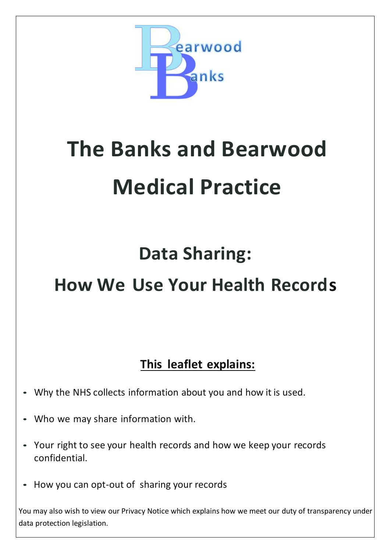

# **The Banks and Bearwood Medical Practice**

## **Data Sharing:**

### **How We Use Your Health Records**

### **This leaflet explains:**

- Why the NHS collects information about you and how it is used.
- Who we may share information with.
- Your right to see your health records and how we keep your records confidential.
- How you can opt-out of sharing your records

You may also wish to view our Privacy Notice which explains how we meet our duty of transparency under data protection legislation.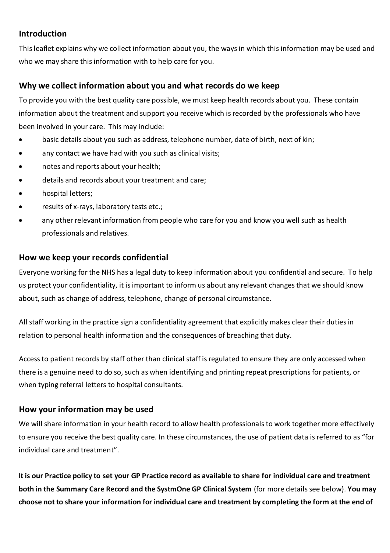#### **Introduction**

This leaflet explains why we collect information about you, the ways in which this information may be used and who we may share this information with to help care for you.

#### **Why we collect information about you and what records do we keep**

To provide you with the best quality care possible, we must keep health records about you. These contain information about the treatment and support you receive which is recorded by the professionals who have been involved in your care. This may include:

- basic details about you such as address, telephone number, date of birth, next of kin;
- any contact we have had with you such as clinical visits;
- notes and reports about your health;
- details and records about your treatment and care;
- hospital letters;
- results of x-rays, laboratory tests etc.;
- any other relevant information from people who care for you and know you well such as health professionals and relatives.

#### **How we keep your records confidential**

Everyone working for the NHS has a legal duty to keep information about you confidential and secure. To help us protect your confidentiality, it is important to inform us about any relevant changes that we should know about, such as change of address, telephone, change of personal circumstance.

All staff working in the practice sign a confidentiality agreement that explicitly makes clear their duties in relation to personal health information and the consequences of breaching that duty.

Access to patient records by staff other than clinical staff is regulated to ensure they are only accessed when there is a genuine need to do so, such as when identifying and printing repeat prescriptions for patients, or when typing referral letters to hospital consultants.

#### **How your information may be used**

We will share information in your health record to allow health professionals to work together more effectively to ensure you receive the best quality care. In these circumstances, the use of patient data is referred to as "for individual care and treatment".

**It is our Practice policy to set your GP Practice record as available to share for individual care and treatment both in the Summary Care Record and the SystmOne GP Clinical System** (for more details see below). **You may choose not to share your information for individual care and treatment by completing the form at the end of**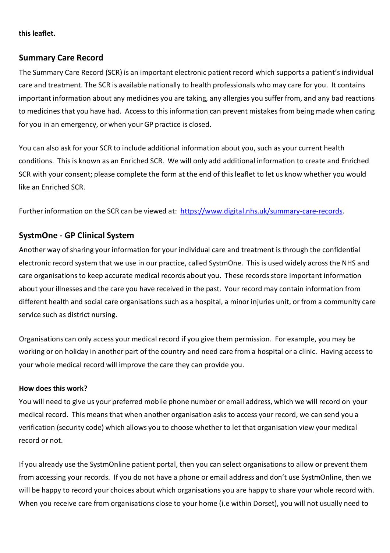#### **this leaflet.**

#### **Summary Care Record**

The Summary Care Record (SCR) is an important electronic patient record which supports a patient's individual care and treatment. The SCR is available nationally to health professionals who may care for you. It contains important information about any medicines you are taking, any allergies you suffer from, and any bad reactions to medicines that you have had. Access to this information can prevent mistakes from being made when caring for you in an emergency, or when your GP practice is closed.

You can also ask for your SCR to include additional information about you, such as your current health conditions. This is known as an Enriched SCR. We will only add additional information to create and Enriched SCR with your consent; please complete the form at the end of this leaflet to let us know whether you would like an Enriched SCR.

Further information on the SCR can be viewed at: [https://www.digital.nhs.uk/summary-care-records.](https://www.digital.nhs.uk/summary-care-records)

#### **SystmOne - GP Clinical System**

Another way of sharing your information for your individual care and treatment is through the confidential electronic record system that we use in our practice, called SystmOne. This is used widely across the NHS and care organisations to keep accurate medical records about you. These records store important information about your illnesses and the care you have received in the past. Your record may contain information from different health and social care organisations such as a hospital, a minor injuries unit, or from a community care service such as district nursing.

Organisations can only access your medical record if you give them permission. For example, you may be working or on holiday in another part of the country and need care from a hospital or a clinic. Having access to your whole medical record will improve the care they can provide you.

#### **How does this work?**

You will need to give us your preferred mobile phone number or email address, which we will record on your medical record. This means that when another organisation asks to access your record, we can send you a verification (security code) which allows you to choose whether to let that organisation view your medical record or not.

If you already use the SystmOnline patient portal, then you can select organisations to allow or prevent them from accessing your records. If you do not have a phone or email address and don't use SystmOnline, then we will be happy to record your choices about which organisations you are happy to share your whole record with. When you receive care from organisations close to your home (i.e within Dorset), you will not usually need to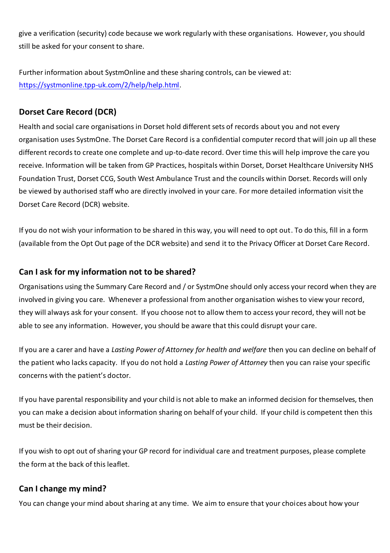give a verification (security) code because we work regularly with these organisations. However, you should still be asked for your consent to share.

Further information about SystmOnline and these sharing controls, can be viewed at: [https://systmonline.tpp-uk.com/2/help/help.html.](https://systmonline.tpp-uk.com/2/help/help.html)

#### **Dorset Care Record (DCR)**

Health and social care organisations in Dorset hold different sets of records about you and not every organisation uses SystmOne. The Dorset Care Record is a confidential computer record that will join up all these different records to create one complete and up-to-date record. Over time this will help improve the care you receive. Information will be taken from GP Practices, hospitals within Dorset, Dorset Healthcare University NHS Foundation Trust, Dorset CCG, South West Ambulance Trust and the councils within Dorset. Records will only be viewed by authorised staff who are directly involved in your care. For more detailed information visit the Dorset Care Record (DCR) website.

If you do not wish your information to be shared in this way, you will need to opt out. To do this, fill in a form (available from the Opt Out page of the DCR website) and send it to the Privacy Officer at Dorset Care Record.

#### **Can I ask for my information not to be shared?**

Organisations using the Summary Care Record and / or SystmOne should only access your record when they are involved in giving you care. Whenever a professional from another organisation wishes to view your record, they will always ask for your consent. If you choose not to allow them to access your record, they will not be able to see any information. However, you should be aware that this could disrupt your care.

If you are a carer and have a *Lasting Power of Attorney for health and welfare* then you can decline on behalf of the patient who lacks capacity. If you do not hold a *Lasting Power of Attorney* then you can raise your specific concerns with the patient's doctor.

If you have parental responsibility and your child is not able to make an informed decision for themselves, then you can make a decision about information sharing on behalf of your child. If your child is competent then this must be their decision.

If you wish to opt out of sharing your GP record for individual care and treatment purposes, please complete the form at the back of this leaflet.

#### **Can I change my mind?**

You can change your mind about sharing at any time. We aim to ensure that your choices about how your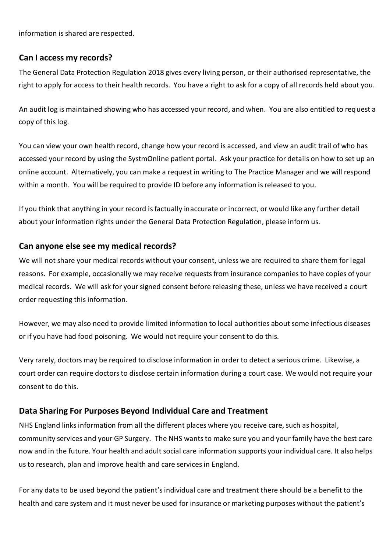information is shared are respected.

#### **Can I access my records?**

The General Data Protection Regulation 2018 gives every living person, or their authorised representative, the right to apply for access to their health records. You have a right to ask for a copy of all records held about you.

An audit log is maintained showing who has accessed your record, and when. You are also entitled to request a copy of this log.

You can view your own health record, change how your record is accessed, and view an audit trail of who has accessed your record by using the SystmOnline patient portal. Ask your practice for details on how to set up an online account. Alternatively, you can make a request in writing to The Practice Manager and we will respond within a month. You will be required to provide ID before any information is released to you.

If you think that anything in your record is factually inaccurate or incorrect, or would like any further detail about your information rights under the General Data Protection Regulation, please inform us.

#### **Can anyone else see my medical records?**

We will not share your medical records without your consent, unless we are required to share them for legal reasons. For example, occasionally we may receive requests from insurance companies to have copies of your medical records. We will ask for your signed consent before releasing these, unless we have received a court order requesting this information.

However, we may also need to provide limited information to local authorities about some infectious diseases or if you have had food poisoning. We would not require your consent to do this.

Very rarely, doctors may be required to disclose information in order to detect a serious crime. Likewise, a court order can require doctors to disclose certain information during a court case. We would not require your consent to do this.

#### **Data Sharing For Purposes Beyond Individual Care and Treatment**

NHS England links information from all the different places where you receive care, such as hospital, community services and your GP Surgery. The NHS wants to make sure you and your family have the best care now and in the future. Your health and adult social care information supports your individual care. It also helps us to research, plan and improve health and care services in England.

For any data to be used beyond the patient's individual care and treatment there should be a benefit to the health and care system and it must never be used for insurance or marketing purposes without the patient's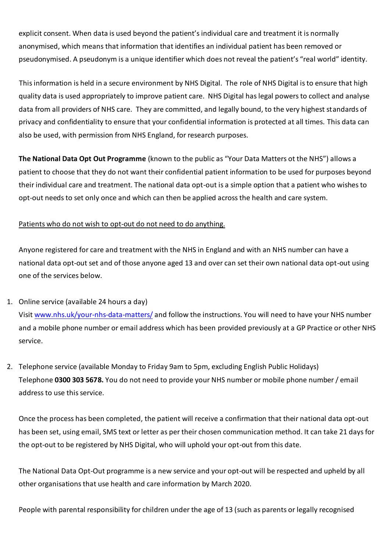explicit consent. When data is used beyond the patient's individual care and treatment it is normally anonymised, which means that information that identifies an individual patient has been removed or pseudonymised. A pseudonym is a unique identifier which does not reveal the patient's "real world" identity.

This information is held in a secure environment by NHS Digital. The role of NHS Digital is to ensure that high quality data is used appropriately to improve patient care. NHS Digital has legal powers to collect and analyse data from all providers of NHS care. They are committed, and legally bound, to the very highest standards of privacy and confidentiality to ensure that your confidential information is protected at all times. This data can also be used, with permission from NHS England, for research purposes.

**The National Data Opt Out Programme** (known to the public as "Your Data Matters ot the NHS") allows a patient to choose that they do not want their confidential patient information to be used for purposes beyond their individual care and treatment. The national data opt-out is a simple option that a patient who wishes to opt-out needs to set only once and which can then be applied across the health and care system.

#### Patients who do not wish to opt-out do not need to do anything.

Anyone registered for care and treatment with the NHS in England and with an NHS number can have a national data opt-out set and of those anyone aged 13 and over can set their own national data opt-out using one of the services below.

#### 1. Online service (available 24 hours a day)

Visi[t www.nhs.uk/your-nhs-data-matters/](http://www.nhs.uk/your-nhs-data-matters/) and follow the instructions. You will need to have your NHS number and a mobile phone number or email address which has been provided previously at a GP Practice or other NHS service.

2. Telephone service (available Monday to Friday 9am to 5pm, excluding English Public Holidays) Telephone **0300 303 5678.** You do not need to provide your NHS number or mobile phone number / email address to use this service.

Once the process has been completed, the patient will receive a confirmation that their national data opt-out has been set, using email, SMS text or letter as per their chosen communication method. It can take 21 days for the opt-out to be registered by NHS Digital, who will uphold your opt-out from this date.

The National Data Opt-Out programme is a new service and your opt-out will be respected and upheld by all other organisations that use health and care information by March 2020.

People with parental responsibility for children under the age of 13 (such as parents or legally recognised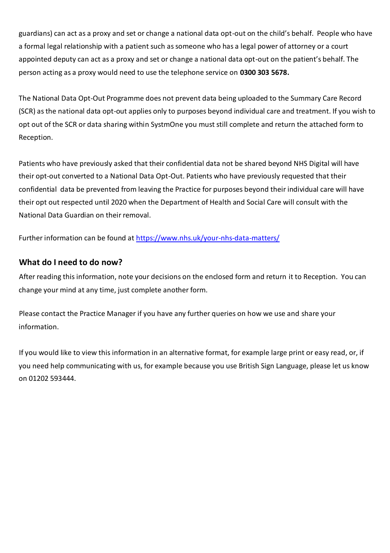guardians) can act as a proxy and set or change a national data opt-out on the child's behalf. People who have a formal legal relationship with a patient such as someone who has a legal power of attorney or a court appointed deputy can act as a proxy and set or change a national data opt-out on the patient's behalf. The person acting as a proxy would need to use the telephone service on **0300 303 5678.**

The National Data Opt-Out Programme does not prevent data being uploaded to the Summary Care Record (SCR) as the national data opt-out applies only to purposes beyond individual care and treatment. If you wish to opt out of the SCR or data sharing within SystmOne you must still complete and return the attached form to Reception.

Patients who have previously asked that their confidential data not be shared beyond NHS Digital will have their opt-out converted to a National Data Opt-Out. Patients who have previously requested that their confidential data be prevented from leaving the Practice for purposes beyond their individual care will have their opt out respected until 2020 when the Department of Health and Social Care will consult with the National Data Guardian on their removal.

Further information can be found at<https://www.nhs.uk/your-nhs-data-matters/>

#### **What do I need to do now?**

After reading this information, note your decisions on the enclosed form and return it to Reception. You can change your mind at any time, just complete another form.

Please contact the Practice Manager if you have any further queries on how we use and share your information.

If you would like to view this information in an alternative format, for example large print or easy read, or, if you need help communicating with us, for example because you use British Sign Language, please let us know on 01202 593444.